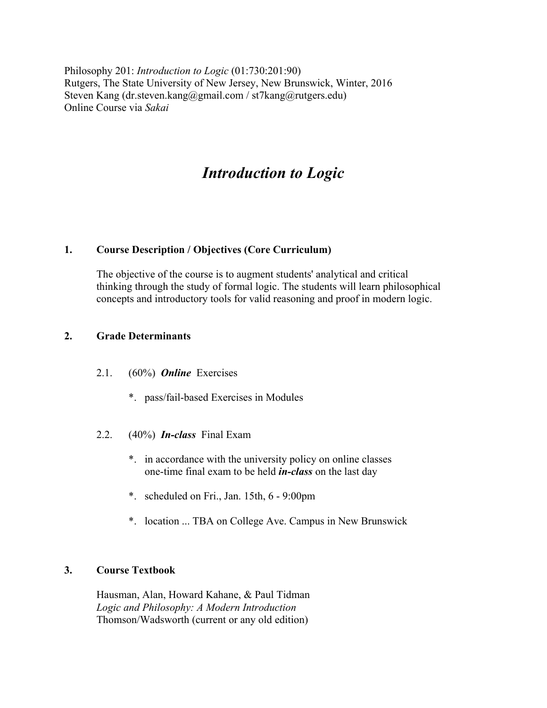Philosophy 201: *Introduction to Logic* (01:730:201:90) Rutgers, The State University of New Jersey, New Brunswick, Winter, 2016 Steven Kang (dr.steven.kang@gmail.com / st7kang@rutgers.edu) Online Course via *Sakai*

# *Introduction to Logic*

## **1. Course Description / Objectives (Core Curriculum)**

 The objective of the course is to augment students' analytical and critical thinking through the study of formal logic. The students will learn philosophical concepts and introductory tools for valid reasoning and proof in modern logic.

#### **2. Grade Determinants**

- 2.1. (60%) *Online* Exercises
	- \*. pass/fail-based Exercises in Modules
- 2.2. (40%) *In-class* Final Exam
	- \*. in accordance with the university policy on online classes one-time final exam to be held *in-class* on the last day
	- \*. scheduled on Fri., Jan. 15th, 6 9:00pm
	- \*. location ... TBA on College Ave. Campus in New Brunswick

## **3. Course Textbook**

 Hausman, Alan, Howard Kahane, & Paul Tidman *Logic and Philosophy: A Modern Introduction*  Thomson/Wadsworth (current or any old edition)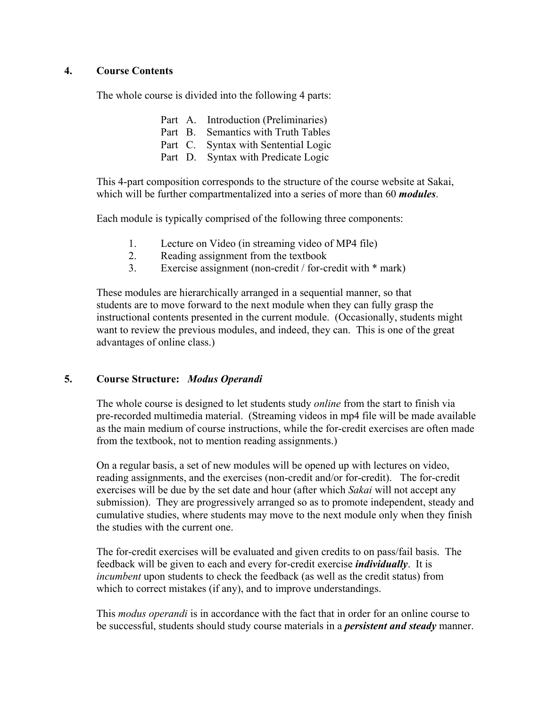## **4. Course Contents**

The whole course is divided into the following 4 parts:

- Part A. Introduction (Preliminaries)
- Part B. Semantics with Truth Tables
- Part C. Syntax with Sentential Logic
- Part D. Syntax with Predicate Logic

 This 4-part composition corresponds to the structure of the course website at Sakai, which will be further compartmentalized into a series of more than 60 *modules*.

Each module is typically comprised of the following three components:

- 1. Lecture on Video (in streaming video of MP4 file)
- 2. Reading assignment from the textbook
- 3. Exercise assignment (non-credit / for-credit with \* mark)

 These modules are hierarchically arranged in a sequential manner, so that students are to move forward to the next module when they can fully grasp the instructional contents presented in the current module. (Occasionally, students might want to review the previous modules, and indeed, they can. This is one of the great advantages of online class.)

## **5. Course Structure:** *Modus Operandi*

 The whole course is designed to let students study *online* from the start to finish via pre-recorded multimedia material. (Streaming videos in mp4 file will be made available as the main medium of course instructions, while the for-credit exercises are often made from the textbook, not to mention reading assignments.)

 On a regular basis, a set of new modules will be opened up with lectures on video, reading assignments, and the exercises (non-credit and/or for-credit). The for-credit exercises will be due by the set date and hour (after which *Sakai* will not accept any submission). They are progressively arranged so as to promote independent, steady and cumulative studies, where students may move to the next module only when they finish the studies with the current one.

 The for-credit exercises will be evaluated and given credits to on pass/fail basis. The feedback will be given to each and every for-credit exercise *individually*. It is *incumbent* upon students to check the feedback (as well as the credit status) from which to correct mistakes (if any), and to improve understandings.

 This *modus operandi* is in accordance with the fact that in order for an online course to be successful, students should study course materials in a *persistent and steady* manner.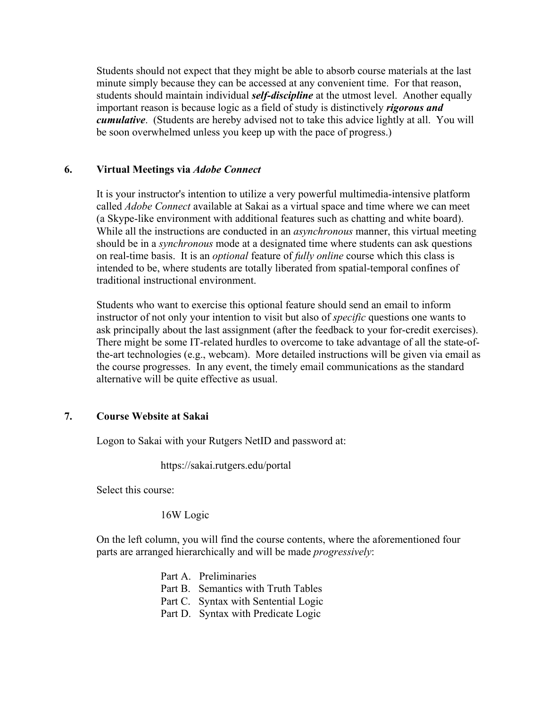Students should not expect that they might be able to absorb course materials at the last minute simply because they can be accessed at any convenient time. For that reason, students should maintain individual *self-discipline* at the utmost level. Another equally important reason is because logic as a field of study is distinctively *rigorous and cumulative*. (Students are hereby advised not to take this advice lightly at all. You will be soon overwhelmed unless you keep up with the pace of progress.)

## **6. Virtual Meetings via** *Adobe Connect*

 It is your instructor's intention to utilize a very powerful multimedia-intensive platform called *Adobe Connect* available at Sakai as a virtual space and time where we can meet (a Skype-like environment with additional features such as chatting and white board). While all the instructions are conducted in an *asynchronous* manner, this virtual meeting should be in a *synchronous* mode at a designated time where students can ask questions on real-time basis. It is an *optional* feature of *fully online* course which this class is intended to be, where students are totally liberated from spatial-temporal confines of traditional instructional environment.

 Students who want to exercise this optional feature should send an email to inform instructor of not only your intention to visit but also of *specific* questions one wants to ask principally about the last assignment (after the feedback to your for-credit exercises). There might be some IT-related hurdles to overcome to take advantage of all the state-of the-art technologies (e.g., webcam). More detailed instructions will be given via email as the course progresses. In any event, the timely email communications as the standard alternative will be quite effective as usual.

## **7. Course Website at Sakai**

Logon to Sakai with your Rutgers NetID and password at:

https://sakai.rutgers.edu/portal

Select this course:

16W Logic

 On the left column, you will find the course contents, where the aforementioned four parts are arranged hierarchically and will be made *progressively*:

| Part A. Preliminaries                |
|--------------------------------------|
| Part B. Semantics with Truth Tables  |
| Part C. Syntax with Sentential Logic |
| Part D. Syntax with Predicate Logic  |